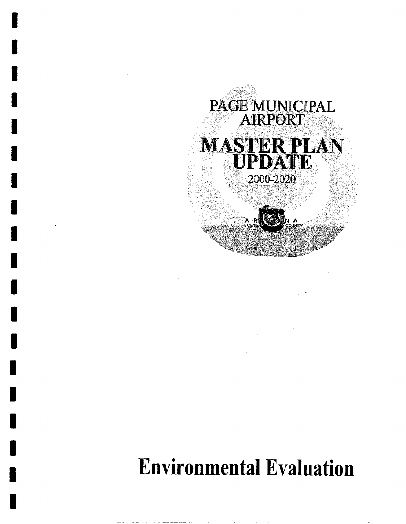

**I** 

I

I

I

I

I

I

I

I

I

I

I

I

I

I

I

I

I

I

# Environmental Evaluation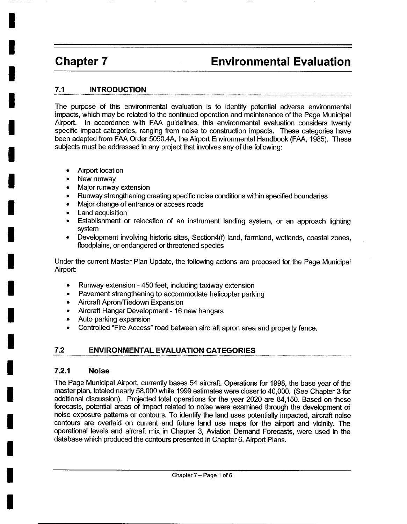**i** 

**!** 

**i** 

*I* 

*I* 

*!* 

*I* 

*I* 

*I* 

*I* 

*I* 

*I* 

*I* 

*I* 

*!* 

*I* 

*I* 

*I* 

**i** 

## **Chapter 7 Environmental Evaluation**

#### **7.1 INTRODUCTION**

The purpose of this environmental evaluation is to identify potential adverse environmental impacts, which may be related to the continued operation and maintenance of the Page Municipal Airport. In accordance with FAA guidelines, this environmental evaluation considers twenty specific impact categories, ranging from noise to construction impacts. These categories have been adapted from FAA Order 5050.4A, the Airport Environmental Handbook (FAA, 1985). These subjects must be addressed in any project that involves any of the following:

- Airport location
- New runway
- Major runway extension
- Runway strengthening creating specific noise conditions within specified boundaries
- Major change of entrance or access roads
- **Land acquisition**
- Establishment or relocation of an instrument landing system, or an approach lighting system
- Development involving historic sites, Section4(f) land, farmland, wetlands, coastal zones, floodplains, or endangered or threatened species

Under the current Master Plan Update, the following actions are proposed for the Page Municipal Airport:

- Runway extension 450 feet, including taxiway extension
- Pavement strengthening to accommodate helicopter parking
- Aircraft Apron/Tiedown Expansion
- Aircraft Hangar Development 16 new hangars
- Auto parking expansion
- Controlled "Fire Access" road between aircraft apron area and property fence.

#### **7.2 ENVIRONMENTAL EVALUATION CATEGORIES**

#### **7.2.1 Noise**

The Page Municipal Airport, currently bases 54 aircraft. Operations for 1998, the base year of the master plan, totaled nearly 58,000 while 1999 estimates were closer to 40,000. (See Chapter 3 for additional discussion). Projected total operations for the year 2020 are 84,150. Based on these forecasts, potential areas of impact related to noise were examined through the development of noise exposure patterns or contours. To identify the land uses potentially impacted, aircraft noise contours are overlaid on current and future land use maps for the airport and vicinity. The operational levels and aircraft mix in Chapter 3, Aviation Demand Forecasts, were used in the database which produced the contours presented in Chapter 6, Airport Plans.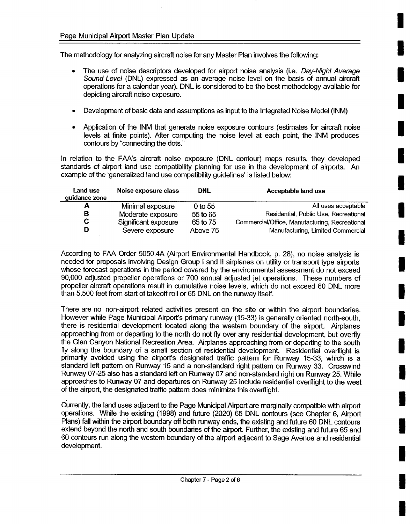The methodology for analyzing aircraft noise for any Master Plan involves the following:

- The use of noise descriptors developed for airport noise analysis (i.e. *Day-Night Average Sound Level* (DNL) expressed as an average noise level on the basis of annual aircraft operations for a calendar year). DNL is considered to be the best methodology available for depicting aircraft noise exposure.
- Development of basic data and assumptions as input to the Integrated Noise Model (INM)
- Application of the INM that generate noise exposure contours (estimates for aircraft noise levels at finite points). After computing the noise level at each point, the INM produces contours by "connecting the dots."

In relation to the FAA's aircraft noise exposure (DNL contour) maps results, they developed standards of airport land use compatibility planning for use in the development of airports. An example of the 'generalized land use compatibility guidelines' is listed below:

| Land use<br>guidance zone | Noise exposure class | <b>DNL</b> | Acceptable land use                            |
|---------------------------|----------------------|------------|------------------------------------------------|
|                           | Minimal exposure     | 0 to 55    | All uses acceptable                            |
| в                         | Moderate exposure    | 55 to 65   | Residential, Public Use, Recreational          |
| C.                        | Significant exposure | 65 to 75   | Commercial/Office, Manufacturing, Recreational |
| D                         | Severe exposure      | Above 75   | Manufacturing, Limited Commercial              |

According to FAA Order 5050.4A (Airport Environmental Handbook, p. 28), no noise analysis is needed for proposals involving Design Group I and II airplanes on utility or transport type airports whose forecast operations in the period covered by the environmental assessment do not exceed 90,000 adjusted propeller operations or 700 annual adjusted jet operations. These numbers of propeller aircraft operations result in cumulative noise levels, which do not exceed 60 DNL more than 5,500 feet from start of takeoff roll or 65 DNL on the runway itself.

There are no non-airport related activities present on the site or within the airport boundaries. However while Page Municipal Airport's primary runway (15-33) is generally oriented north-south, there is residential development located along the western boundary of the airport. Airplanes approaching from or departing to the north do not fly over any residential development, but overfly the Glen Canyon National Recreation Area. Airplanes approaching from or departing to the south fly along the boundary of a small section of residential development. Residential overflight is primarily avoided using the airport's designated traffic pattern for Runway 15-33, which is a standard left pattern on Runway 15 and a non-standard right pattern on Runway 33. Crosswind Runway 07-25 also has a standard left on Runway 07 and non-standard right on Runway 25. While approaches to Runway 07 and departures on Runway 25 include residential overflight to the west of the airport, the designated traffic pattern does minimize this overflight.

Currently, the land uses adjacent to the Page Municipal Airport are marginally compatible with airport operations. While the existing (1998) and future (2020) 65 DNL contours (see Chapter 6, Airport Plans) fall within the airport boundary off both runway ends, the existing and future 60 DNL contours extend beyond the north and south boundaries of the airport. Further, the existing and future 65 and 60 contours run along the westem boundary of the airport adjacent to Sage Avenue and residential development.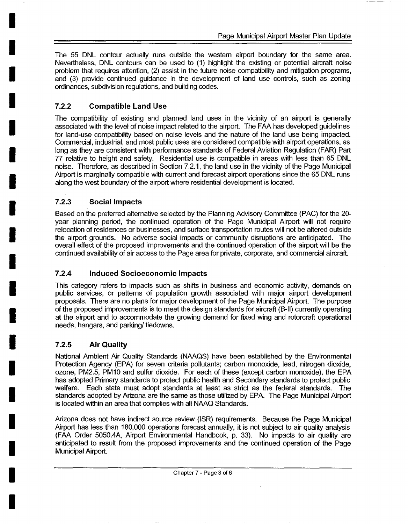The 55 DNL contour actually runs outside the western airport boundary for the same area. Nevertheless, DNL contours can be used to (1) highlight the existing or potential aircraft noise problem that requires attention, (2) assist in the future noise compatibility and mitigation programs, and (3) provide continued guidance in the development of land use controls, such as zoning ordinances, subdivision regulations, and building codes.

#### **7.2.2 Compatible Land Use**

**i** 

**i** 

**I** 

**I** 

**I** 

**I** 

**I** 

**I** 

**I** 

**I** 

**I** 

**I** 

**I** 

**I** 

**I** 

**I** 

**I** 

**I** 

**i** 

The compatibility of existing and planned land uses in the vicinity of an airport is generally associated with the level of noise impact related to the airport. The FAA has developed guidelines for land-use compatibility based on noise levels and the nature of the land use being impacted. Commercial, industrial, and most public uses are considered compatible with airport operations, as long as they are consistent with performance standards of Federal Aviation Regulation (FAR) Part 77 relative to height and safety. Residential use is compatible in areas with less than 65 DNL noise. Therefore, as described in Section 7.2.1, the land use in the vicinity of the Page Municipal Airport is marginally compatible with current and forecast airport operations since the 65 DNL runs along the west boundary of the airport where residential development is located.

#### **7.2.3 Social Impacts**

Based on the preferred alternative selected by the Planning Advisory Committee (PAC) for the 20 year planning period, the continued operation of the Page Municipal Airport will not require relocation of residences or businesses, and surface transportation routes will not be altered outside the airport grounds. No adverse social impacts or community disruptions are anticipated. The overall effect of the proposed improvements and the continued operation of the airport will be the continued availability of air access to the Page area for private, corporate, and commercial aircraft.

#### **7.2.4 Induced Socioeconomic Impacts**

This category refers to impacts such as shifts in business and economic activity, demands on public services, or pattems of population growth associated with major airport development proposals. There are no plans for major development of the Page Municipal Airport. The purpose of the proposed improvements is to meet the design standards for aircraft (B-II) currently operating at the airport and to accommodate the growing demand for fixed wing and rotorcraft operational needs, hangars, and parking/tiedowns.

#### **7.2.5 Air Quality**

National Ambient Air Quality Standards (NAAQS) have been established by the Environmental Protection Agency (EPA) for seven criteria pollutants; carbon monoxide, lead, nitrogen dioxide, ozone, PM2.5, PM10 and sulfur dioxide. For each of these (except carbon monoxide), the EPA has adopted Primary standards to protect public health and Secondary standards to protect public welfare. Each state must adopt standards at least as strict as the federal standards. The standards adopted by Arizona are the same as those utilized by EPA. The Page Municipal Airport is located within an area that complies with all NAAQ Standards.

Arizona does not have indirect source review (ISR) requirements. Because the Page Municipal Airport has less than 180,000 operations forecast annually, it is not subject to air quality analysis (FAA Order 5050.4A, Airport Environmental Handbook, p. 33). No impacts to air quality are anticipated to result from the proposed improvements and the continued operation of the Page Municipal Airport.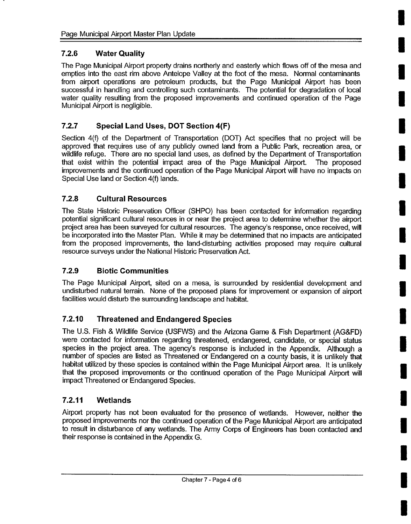#### **7.2.6 Water Quality**

The Page Municipal Airport property drains northerly and easterly which flows off of the mesa and empties into the east rim above Antelope Valley at the foot of the mesa. Normal contaminants from airport operations are petroleum products, but the Page Municipal Airport has been successful in handling and controlling such contaminants. The potential for degradation of local water quality resulting from the proposed improvements and continued operation of the Page Municipal Airport is negligible.

### **7.2.7 Special Land Uses, DOT Section 4(F)**

Section 4(f) of the Department of Transportation (DOT) Act specifies that no project will be approved that requires use of any publicly owned land from a Public Park, recreation area, or wildlife refuge. There are no special land uses, as defined by the Department of Transportation that exist within the potential impact area of the Page Municipal Airport. The proposed improvements and the continued operation of the Page Municipal Airport will have no impacts on Special Use land or Section 4(f) lands.

#### **7.2.8 Cultural Resources**

The State Historic Preservation Officer (SHPO) has been contacted for information regarding potential significant cultural resources in or near the project area to determine whether the airport project area has been surveyed for cultural resources. The agency's response, once received, will be incorporated into the Master Plan. While it may be determined that no impacts are anticipated from the proposed improvements, the land-disturbing activities proposed may require cultural resource surveys under the National Historic Preservation Act.

#### **7.2.9 Biotic Communities**

The Page Municipal Airport, sited on a mesa, is surrounded by residential development and undisturbed natural terrain. None of the proposed plans for improvement or expansion of airport facilities would disturb the surrounding landscape and habitat.

### **7.2.10 Threatened and Endangered Species**

The U.S. Fish & Wildlife Service (USFWS) and the Arizona Game & Fish Department (AG&FD) were contacted for information regarding threatened, endangered, candidate, or special status species in the project area. The agency's response is included in the Appendix. Although a number of species are listed as Threatened or Endangered on a county basis, it is unlikely that habitat utilized by these species is contained within the Page Municipal Airport area. It is unlikely that the proposed improvements or the continued operation of the Page Municipal Airport will impact Threatened or Endangered Species.

#### **7.2.11 Wetlands**

Airport property has not been evaluated for the presence of wetlands. However, neither the proposed improvements nor the continued operation of the Page Municipal Airport are anticipated to result in disturbance of any wetlands. The Army Corps of Engineers has been contacted and their response is contained in the Appendix G.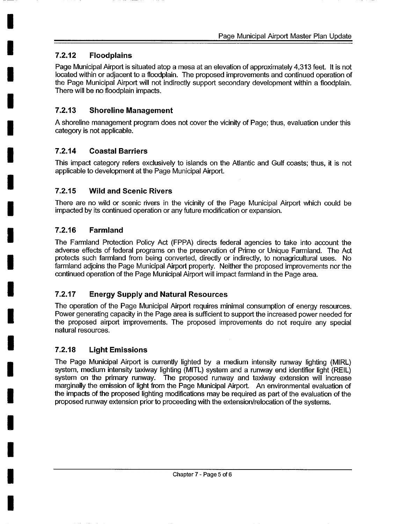#### **I 7.2.12 Floodplains**

**I** 

**I** 

**I** 

**I** 

**I** 

**I** 

**I** 

**I** 

**I** 

**I** 

**I** 

**I** 

**I** 

**I** 

**I** 

**I** 

**I** 

**I** 

Page Municipal Airport is situated atop a mesa at an elevation of approximately 4,313 feet. It is not located within or adjacent to a floodplain. The proposed improvements and continued operation of the Page Municipal Airport will not indirectly support secondary development within a floodplain. There will be no floodplain impacts.

#### **7.2.13 Shoreline Management**

A shoreline management program does not cover the vicinity of Page; thus, evaluation under this category is not applicable.

#### **7.2.14 Coastal Barriers**

This impact category refers exclusively to islands on the Atlantic and Gulf coasts; thus, it is not applicable to development at the Page Municipal Airport.

#### **7.2.15 Wild and Scenic Rivers**

There are no wild or scenic rivers in the vicinity of the Page Municipal Airport which could be impacted by its continued operation or any future modification or expansion.

#### **7.2.16 Farmland**

The Farmland Protection Policy Act (FPPA) directs federal agencies to take into account the adverse effects of federal programs on the preservation of Prime or Unique Farmland. The Act protects such farmland from being converted, directly or indirectly, to nonagricultural uses. No farmland adjoins the Page Municipal Airport property. Neither the proposed improvements nor the continued operation of the Page Municipal Airport will impact farmland in the Page area.

### **7.2.17 Energy Supply and Natural Resources**

The operation of the Page Municipal Airport requires minimal consumption of energy resources. Power generating capacity in the Page area is sufficient to support the increased power needed for the proposed airport improvements. The proposed improvements do not require any special natural resources.

#### **7.2.18 Light Emissions**

The Page Municipal Airport is currently lighted by a medium intensity runway lighting (MIRL) system, medium intensity taxiway lighting (MITL) system and a runway end identifier light (REIL) system on the primary runway. The proposed runway and taxiway extension will increase marginally the emission of light from the Page Municipal Airport. An environmental evaluation of the impacts of the proposed lighting modifications may be required as part of the evaluation of the proposed runway extension prior to proceeding with the extension/relocation of the systems.